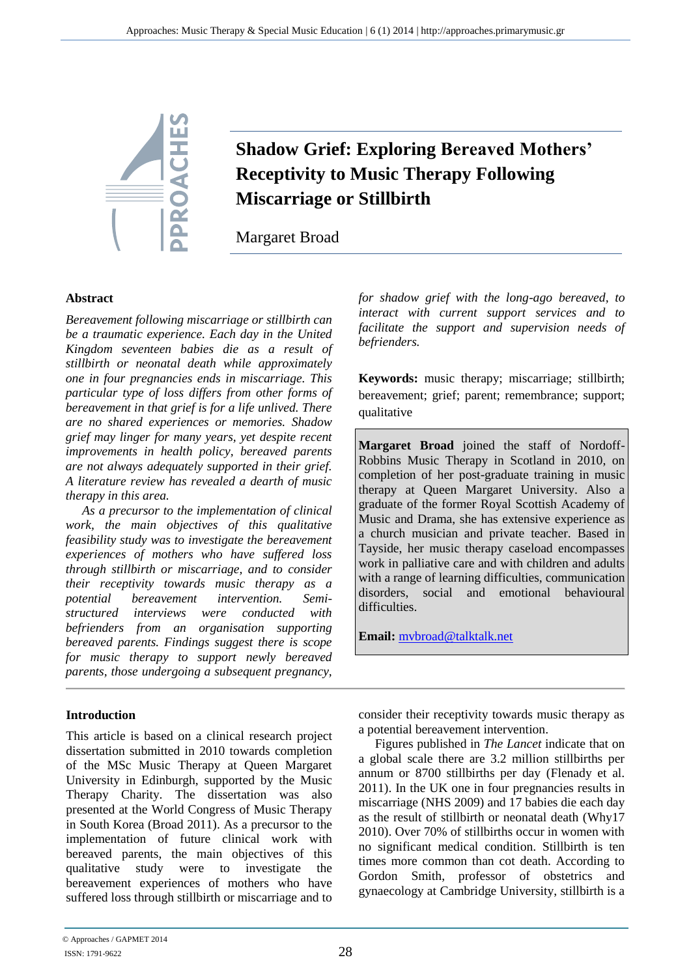

# **Shadow Grief: Exploring Bereaved Mothers' Receptivity to Music Therapy Following Miscarriage or Stillbirth**

Margaret Broad

#### **Abstract**

*Bereavement following miscarriage or stillbirth can be a traumatic experience. Each day in the United Kingdom seventeen babies die as a result of stillbirth or neonatal death while approximately one in four pregnancies ends in miscarriage. This particular type of loss differs from other forms of bereavement in that grief is for a life unlived. There are no shared experiences or memories. Shadow grief may linger for many years, yet despite recent improvements in health policy, bereaved parents are not always adequately supported in their grief. A literature review has revealed a dearth of music therapy in this area.*

*As a precursor to the implementation of clinical work, the main objectives of this qualitative feasibility study was to investigate the bereavement experiences of mothers who have suffered loss through stillbirth or miscarriage, and to consider their receptivity towards music therapy as a potential bereavement intervention. Semistructured interviews were conducted with befrienders from an organisation supporting bereaved parents. Findings suggest there is scope for music therapy to support newly bereaved parents, those undergoing a subsequent pregnancy,* 

# **Introduction**

This article is based on a clinical research project dissertation submitted in 2010 towards completion of the MSc Music Therapy at Queen Margaret University in Edinburgh, supported by the Music Therapy Charity. The dissertation was also presented at the World Congress of Music Therapy in South Korea (Broad 2011). As a precursor to the implementation of future clinical work with bereaved parents, the main objectives of this qualitative study were to investigate the bereavement experiences of mothers who have suffered loss through stillbirth or miscarriage and to *for shadow grief with the long-ago bereaved, to interact with current support services and to facilitate the support and supervision needs of befrienders.* 

**Keywords:** music therapy; miscarriage; stillbirth; bereavement; grief; parent; remembrance; support; qualitative

**Margaret Broad** joined the staff of Nordoff-Robbins Music Therapy in Scotland in 2010, on completion of her post-graduate training in music therapy at Queen Margaret University. Also a graduate of the former Royal Scottish Academy of Music and Drama, she has extensive experience as a church musician and private teacher. Based in Tayside, her music therapy caseload encompasses work in palliative care and with children and adults with a range of learning difficulties, communication disorders, social and emotional behavioural difficulties.

**Email:** [mvbroad@talktalk.net](mailto:mvbroad@talktalk.net)

consider their receptivity towards music therapy as a potential bereavement intervention.

Figures published in *The Lancet* indicate that on a global scale there are 3.2 million stillbirths per annum or 8700 stillbirths per day (Flenady et al. 2011). In the UK one in four pregnancies results in miscarriage (NHS 2009) and 17 babies die each day as the result of stillbirth or neonatal death (Why17 2010). Over 70% of stillbirths occur in women with no significant medical condition. Stillbirth is ten times more common than cot death. According to Gordon Smith, professor of obstetrics and gynaecology at Cambridge University, stillbirth is a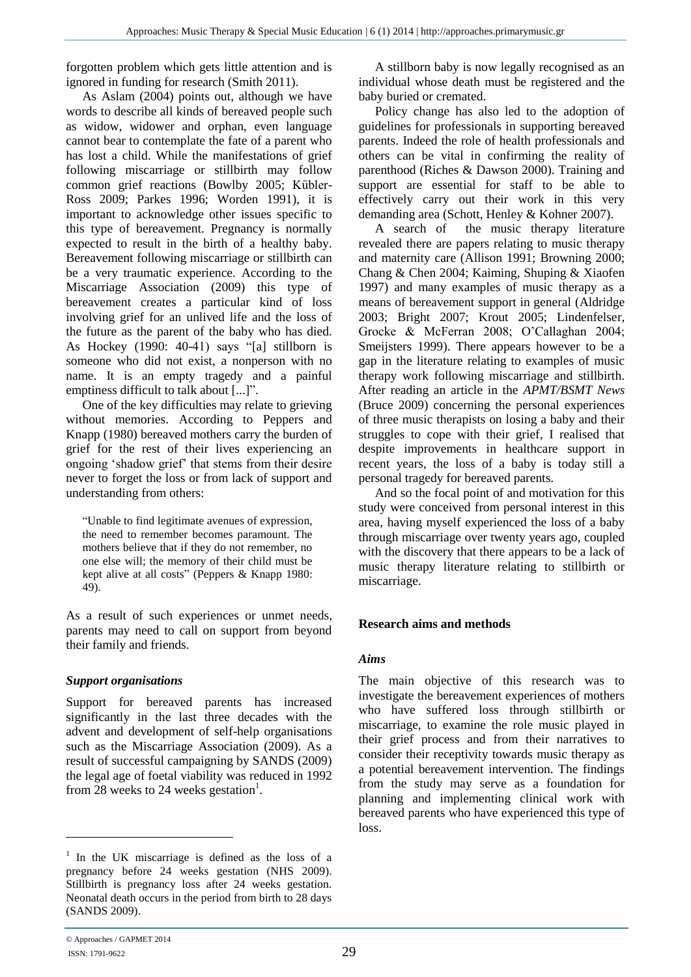forgotten problem which gets little attention and is ignored in funding for research (Smith 2011).

As Aslam (2004) points out, although we have words to describe all kinds of bereaved people such as widow, widower and orphan, even language cannot bear to contemplate the fate of a parent who has lost a child. While the manifestations of grief following miscarriage or stillbirth may follow common grief reactions (Bowlby 2005; Kűbler-Ross 2009; Parkes 1996; Worden 1991), it is important to acknowledge other issues specific to this type of bereavement. Pregnancy is normally expected to result in the birth of a healthy baby. Bereavement following miscarriage or stillbirth can be a very traumatic experience. According to the Miscarriage Association (2009) this type of bereavement creates a particular kind of loss involving grief for an unlived life and the loss of the future as the parent of the baby who has died. As Hockey (1990: 40-41) says "[a] stillborn is someone who did not exist, a nonperson with no name. It is an empty tragedy and a painful emptiness difficult to talk about [...]".

One of the key difficulties may relate to grieving without memories. According to Peppers and Knapp (1980) bereaved mothers carry the burden of grief for the rest of their lives experiencing an ongoing 'shadow grief' that stems from their desire never to forget the loss or from lack of support and understanding from others:

"Unable to find legitimate avenues of expression, the need to remember becomes paramount. The mothers believe that if they do not remember, no one else will; the memory of their child must be kept alive at all costs" (Peppers & Knapp 1980: 49).

As a result of such experiences or unmet needs, parents may need to call on support from beyond their family and friends.

#### *Support organisations*

Support for bereaved parents has increased significantly in the last three decades with the advent and development of self-help organisations such as the Miscarriage Association (2009). As a result of successful campaigning by SANDS (2009) the legal age of foetal viability was reduced in 1992 from 28 weeks to 24 weeks gestation<sup>1</sup>.

A stillborn baby is now legally recognised as an individual whose death must be registered and the baby buried or cremated.

Policy change has also led to the adoption of guidelines for professionals in supporting bereaved parents. Indeed the role of health professionals and others can be vital in confirming the reality of parenthood (Riches & Dawson 2000). Training and support are essential for staff to be able to effectively carry out their work in this very demanding area (Schott, Henley & Kohner 2007).

A search of the music therapy literature revealed there are papers relating to music therapy and maternity care (Allison 1991; Browning 2000; Chang & Chen 2004; Kaiming, Shuping & Xiaofen 1997) and many examples of music therapy as a means of bereavement support in general (Aldridge 2003; Bright 2007; Krout 2005; Lindenfelser, Grocke & McFerran 2008; O'Callaghan 2004; Smeijsters 1999). There appears however to be a gap in the literature relating to examples of music therapy work following miscarriage and stillbirth. After reading an article in the *APMT/BSMT News* (Bruce 2009) concerning the personal experiences of three music therapists on losing a baby and their struggles to cope with their grief, I realised that despite improvements in healthcare support in recent years, the loss of a baby is today still a personal tragedy for bereaved parents.

And so the focal point of and motivation for this study were conceived from personal interest in this area, having myself experienced the loss of a baby through miscarriage over twenty years ago, coupled with the discovery that there appears to be a lack of music therapy literature relating to stillbirth or miscarriage.

# **Research aims and methods**

#### *Aims*

The main objective of this research was to investigate the bereavement experiences of mothers who have suffered loss through stillbirth or miscarriage, to examine the role music played in their grief process and from their narratives to consider their receptivity towards music therapy as a potential bereavement intervention. The findings from the study may serve as a foundation for planning and implementing clinical work with bereaved parents who have experienced this type of loss.

 $\overline{a}$ 

<sup>&</sup>lt;sup>1</sup> In the UK miscarriage is defined as the loss of a pregnancy before 24 weeks gestation (NHS 2009). Stillbirth is pregnancy loss after 24 weeks gestation. Neonatal death occurs in the period from birth to 28 days (SANDS 2009).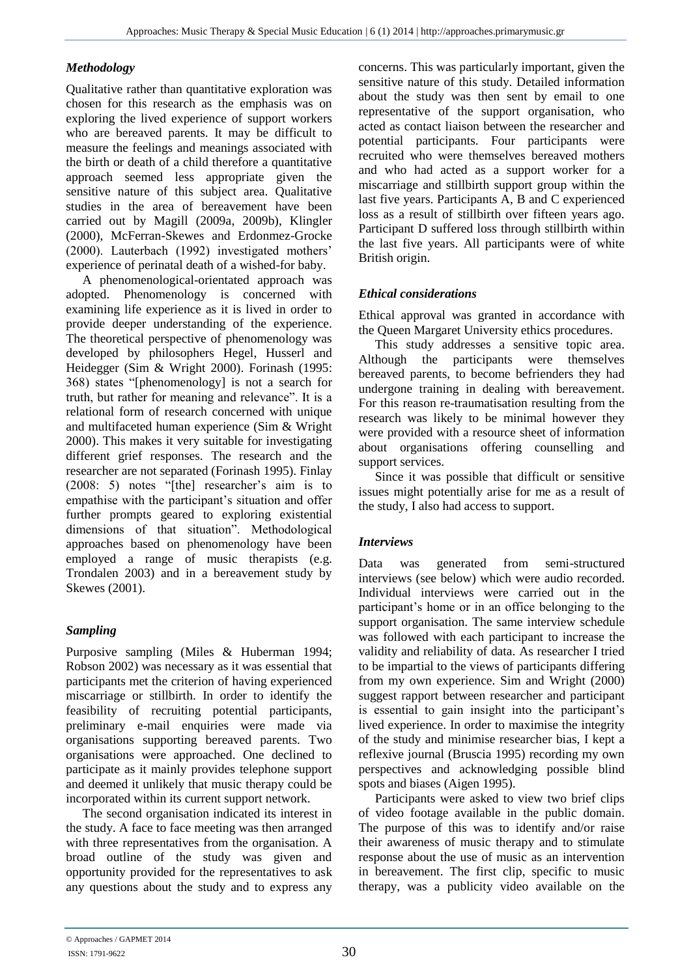# *Methodology*

Qualitative rather than quantitative exploration was chosen for this research as the emphasis was on exploring the lived experience of support workers who are bereaved parents. It may be difficult to measure the feelings and meanings associated with the birth or death of a child therefore a quantitative approach seemed less appropriate given the sensitive nature of this subject area. Qualitative studies in the area of bereavement have been carried out by Magill (2009a, 2009b), Klingler (2000), McFerran-Skewes and Erdonmez-Grocke (2000). Lauterbach (1992) investigated mothers' experience of perinatal death of a wished-for baby.

A phenomenological-orientated approach was adopted. Phenomenology is concerned with examining life experience as it is lived in order to provide deeper understanding of the experience. The theoretical perspective of phenomenology was developed by philosophers Hegel, Husserl and Heidegger (Sim & Wright 2000). Forinash (1995: 368) states "[phenomenology] is not a search for truth, but rather for meaning and relevance". It is a relational form of research concerned with unique and multifaceted human experience (Sim & Wright 2000). This makes it very suitable for investigating different grief responses. The research and the researcher are not separated (Forinash 1995). Finlay (2008: 5) notes "[the] researcher's aim is to empathise with the participant's situation and offer further prompts geared to exploring existential dimensions of that situation". Methodological approaches based on phenomenology have been employed a range of music therapists (e.g. Trondalen 2003) and in a bereavement study by Skewes (2001).

# *Sampling*

Purposive sampling (Miles & Huberman 1994; Robson 2002) was necessary as it was essential that participants met the criterion of having experienced miscarriage or stillbirth. In order to identify the feasibility of recruiting potential participants, preliminary e-mail enquiries were made via organisations supporting bereaved parents. Two organisations were approached. One declined to participate as it mainly provides telephone support and deemed it unlikely that music therapy could be incorporated within its current support network.

The second organisation indicated its interest in the study. A face to face meeting was then arranged with three representatives from the organisation. A broad outline of the study was given and opportunity provided for the representatives to ask any questions about the study and to express any concerns. This was particularly important, given the sensitive nature of this study. Detailed information about the study was then sent by email to one representative of the support organisation, who acted as contact liaison between the researcher and potential participants. Four participants were recruited who were themselves bereaved mothers and who had acted as a support worker for a miscarriage and stillbirth support group within the last five years. Participants A, B and C experienced loss as a result of stillbirth over fifteen years ago. Participant D suffered loss through stillbirth within the last five years. All participants were of white British origin.

# *Ethical considerations*

Ethical approval was granted in accordance with the Queen Margaret University ethics procedures.

This study addresses a sensitive topic area. Although the participants were themselves bereaved parents, to become befrienders they had undergone training in dealing with bereavement. For this reason re-traumatisation resulting from the research was likely to be minimal however they were provided with a resource sheet of information about organisations offering counselling and support services.

Since it was possible that difficult or sensitive issues might potentially arise for me as a result of the study, I also had access to support.

# *Interviews*

Data was generated from semi-structured interviews (see below) which were audio recorded. Individual interviews were carried out in the participant's home or in an office belonging to the support organisation. The same interview schedule was followed with each participant to increase the validity and reliability of data. As researcher I tried to be impartial to the views of participants differing from my own experience. Sim and Wright (2000) suggest rapport between researcher and participant is essential to gain insight into the participant's lived experience. In order to maximise the integrity of the study and minimise researcher bias, I kept a reflexive journal (Bruscia 1995) recording my own perspectives and acknowledging possible blind spots and biases (Aigen 1995).

Participants were asked to view two brief clips of video footage available in the public domain. The purpose of this was to identify and/or raise their awareness of music therapy and to stimulate response about the use of music as an intervention in bereavement. The first clip, specific to music therapy, was a publicity video available on the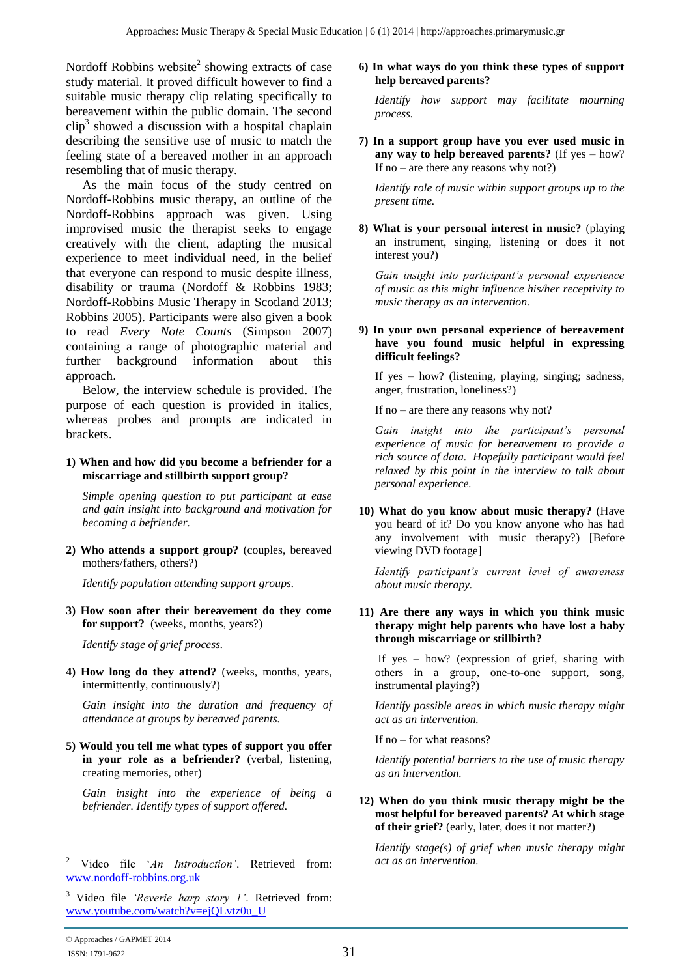Nordoff Robbins website<sup>2</sup> showing extracts of case study material. It proved difficult however to find a suitable music therapy clip relating specifically to bereavement within the public domain. The second  $\text{clip}^3$  showed a discussion with a hospital chaplain describing the sensitive use of music to match the feeling state of a bereaved mother in an approach resembling that of music therapy.

As the main focus of the study centred on Nordoff-Robbins music therapy, an outline of the Nordoff-Robbins approach was given. Using improvised music the therapist seeks to engage creatively with the client, adapting the musical experience to meet individual need, in the belief that everyone can respond to music despite illness, disability or trauma (Nordoff & Robbins 1983; Nordoff-Robbins Music Therapy in Scotland 2013; Robbins 2005). Participants were also given a book to read *Every Note Counts* (Simpson 2007) containing a range of photographic material and further background information about this approach.

Below, the interview schedule is provided. The purpose of each question is provided in italics, whereas probes and prompts are indicated in brackets.

#### **1) When and how did you become a befriender for a miscarriage and stillbirth support group?**

*Simple opening question to put participant at ease and gain insight into background and motivation for becoming a befriender.*

**2) Who attends a support group?** (couples, bereaved mothers/fathers, others?)

*Identify population attending support groups.*

**3) How soon after their bereavement do they come for support?** (weeks, months, years?)

*Identify stage of grief process.*

**4) How long do they attend?** (weeks, months, years, intermittently, continuously?)

*Gain insight into the duration and frequency of attendance at groups by bereaved parents.*

**5) Would you tell me what types of support you offer in your role as a befriender?** (verbal, listening, creating memories, other)

*Gain insight into the experience of being a befriender. Identify types of support offered.* 

#### **6) In what ways do you think these types of support help bereaved parents?**

*Identify how support may facilitate mourning process.*

**7) In a support group have you ever used music in any way to help bereaved parents?** (If yes – how? If no – are there any reasons why not?)

*Identify role of music within support groups up to the present time.*

**8) What is your personal interest in music?** (playing an instrument, singing, listening or does it not interest you?)

*Gain insight into participant's personal experience of music as this might influence his/her receptivity to music therapy as an intervention.*

#### **9) In your own personal experience of bereavement have you found music helpful in expressing difficult feelings?**

If yes – how? (listening, playing, singing; sadness, anger, frustration, loneliness?)

If no – are there any reasons why not?

*Gain insight into the participant's personal experience of music for bereavement to provide a rich source of data. Hopefully participant would feel relaxed by this point in the interview to talk about personal experience.*

**10) What do you know about music therapy?** (Have you heard of it? Do you know anyone who has had any involvement with music therapy?) [Before viewing DVD footage]

*Identify participant's current level of awareness about music therapy.*

**11) Are there any ways in which you think music therapy might help parents who have lost a baby through miscarriage or stillbirth?**

If yes – how? (expression of grief, sharing with others in a group, one-to-one support, song, instrumental playing?)

*Identify possible areas in which music therapy might act as an intervention.*

If no – for what reasons?

*Identify potential barriers to the use of music therapy as an intervention.*

**12) When do you think music therapy might be the most helpful for bereaved parents? At which stage of their grief?** (early, later, does it not matter?)

*Identify stage(s) of grief when music therapy might act as an intervention.*

 $\overline{a}$ <sup>2</sup> Video file '*An Introduction'*. Retrieved from: [www.nordoff-robbins.org.uk](http://www.nordoff-robbins.org.uk/)

<sup>3</sup> Video file *'Reverie harp story 1'*. Retrieved from: [www.youtube.com/watch?v=ejQLvtz0u\\_U](http://www.youtube.com/watch?v=ejQLvtz0u_U)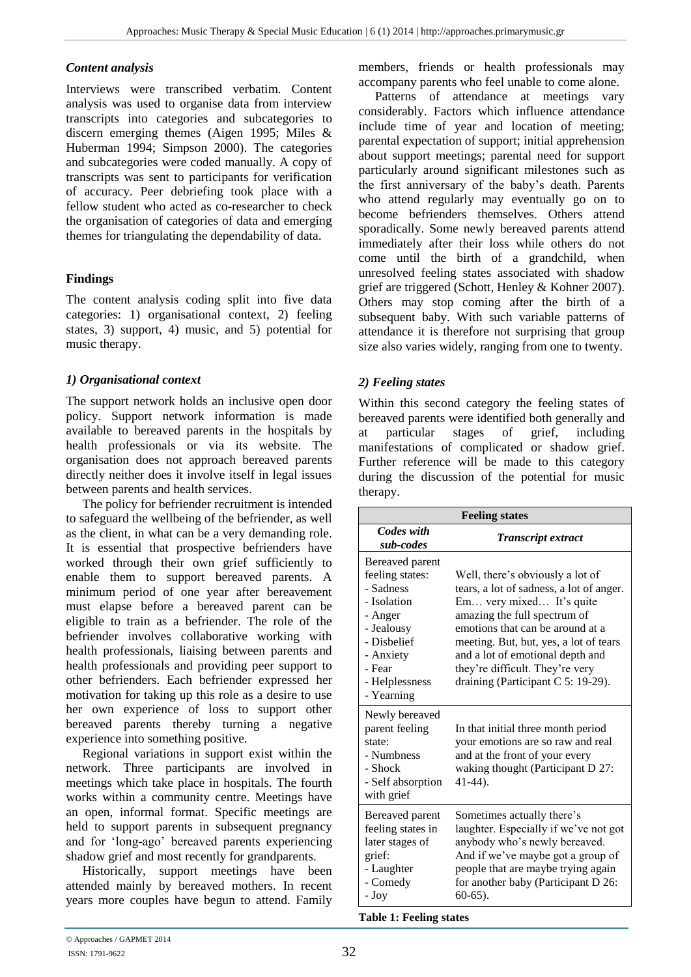#### *Content analysis*

Interviews were transcribed verbatim. Content analysis was used to organise data from interview transcripts into categories and subcategories to discern emerging themes (Aigen 1995; Miles & Huberman 1994; Simpson 2000). The categories and subcategories were coded manually. A copy of transcripts was sent to participants for verification of accuracy. Peer debriefing took place with a fellow student who acted as co-researcher to check the organisation of categories of data and emerging themes for triangulating the dependability of data.

# **Findings**

The content analysis coding split into five data categories: 1) organisational context, 2) feeling states, 3) support, 4) music, and 5) potential for music therapy.

# *1) Organisational context*

The support network holds an inclusive open door policy. Support network information is made available to bereaved parents in the hospitals by health professionals or via its website. The organisation does not approach bereaved parents directly neither does it involve itself in legal issues between parents and health services.

The policy for befriender recruitment is intended to safeguard the wellbeing of the befriender, as well as the client, in what can be a very demanding role. It is essential that prospective befrienders have worked through their own grief sufficiently to enable them to support bereaved parents. A minimum period of one year after bereavement must elapse before a bereaved parent can be eligible to train as a befriender. The role of the befriender involves collaborative working with health professionals, liaising between parents and health professionals and providing peer support to other befrienders. Each befriender expressed her motivation for taking up this role as a desire to use her own experience of loss to support other bereaved parents thereby turning a negative experience into something positive.

Regional variations in support exist within the network. Three participants are involved in meetings which take place in hospitals. The fourth works within a community centre. Meetings have an open, informal format. Specific meetings are held to support parents in subsequent pregnancy and for 'long-ago' bereaved parents experiencing shadow grief and most recently for grandparents.

Historically, support meetings have been attended mainly by bereaved mothers. In recent years more couples have begun to attend. Family members, friends or health professionals may accompany parents who feel unable to come alone.

Patterns of attendance at meetings vary considerably. Factors which influence attendance include time of year and location of meeting; parental expectation of support; initial apprehension about support meetings; parental need for support particularly around significant milestones such as the first anniversary of the baby's death. Parents who attend regularly may eventually go on to become befrienders themselves. Others attend sporadically. Some newly bereaved parents attend immediately after their loss while others do not come until the birth of a grandchild, when unresolved feeling states associated with shadow grief are triggered (Schott, Henley & Kohner 2007). Others may stop coming after the birth of a subsequent baby. With such variable patterns of attendance it is therefore not surprising that group size also varies widely, ranging from one to twenty.

# *2) Feeling states*

Within this second category the feeling states of bereaved parents were identified both generally and at particular stages of grief, including manifestations of complicated or shadow grief. Further reference will be made to this category during the discussion of the potential for music therapy.

| <b>Feeling states</b>                                                                                                                                         |                                                                                                                                                                                                                                                                                                                                     |  |  |  |  |
|---------------------------------------------------------------------------------------------------------------------------------------------------------------|-------------------------------------------------------------------------------------------------------------------------------------------------------------------------------------------------------------------------------------------------------------------------------------------------------------------------------------|--|--|--|--|
| Codes with<br>sub-codes                                                                                                                                       | <b>Transcript extract</b>                                                                                                                                                                                                                                                                                                           |  |  |  |  |
| Bereaved parent<br>feeling states:<br>- Sadness<br>- Isolation<br>- Anger<br>- Jealousy<br>- Dishelief<br>- Anxiety<br>- Fear<br>- Helplessness<br>- Yearning | Well, there's obviously a lot of<br>tears, a lot of sadness, a lot of anger.<br>Em very mixed It's quite<br>amazing the full spectrum of<br>emotions that can be around at a<br>meeting. But, but, yes, a lot of tears<br>and a lot of emotional depth and<br>they're difficult. They're very<br>draining (Participant C 5: 19-29). |  |  |  |  |
| Newly bereaved<br>parent feeling<br>state:<br>- Numbness<br>- Shock<br>- Self absorption<br>with grief                                                        | In that initial three month period<br>your emotions are so raw and real<br>and at the front of your every<br>waking thought (Participant D 27:<br>$41-44$ ).                                                                                                                                                                        |  |  |  |  |
| Bereaved parent<br>feeling states in<br>later stages of<br>grief:<br>- Laughter<br>- Comedy<br>- Joy                                                          | Sometimes actually there's<br>laughter. Especially if we've not got<br>anybody who's newly bereaved.<br>And if we've maybe got a group of<br>people that are maybe trying again<br>for another baby (Participant D 26:<br>$60-65$ ).                                                                                                |  |  |  |  |

#### **Table 1: Feeling states**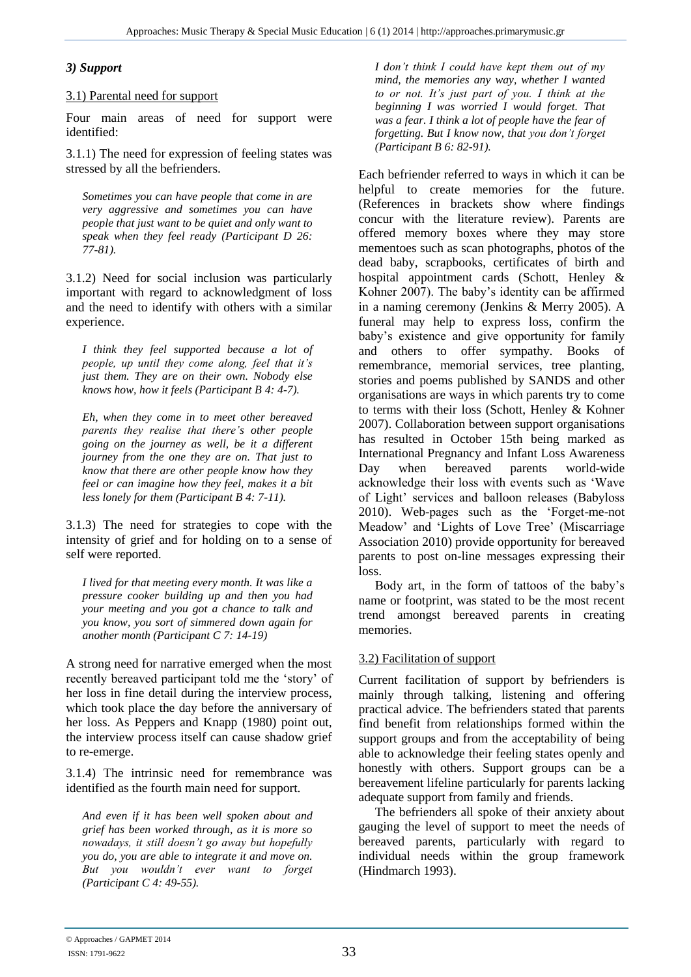#### *3) Support*

#### 3.1) Parental need for support

Four main areas of need for support were identified:

3.1.1) The need for expression of feeling states was stressed by all the befrienders.

*Sometimes you can have people that come in are very aggressive and sometimes you can have people that just want to be quiet and only want to speak when they feel ready (Participant D 26: 77-81).*

3.1.2) Need for social inclusion was particularly important with regard to acknowledgment of loss and the need to identify with others with a similar experience.

*I think they feel supported because a lot of people, up until they come along, feel that it's just them. They are on their own. Nobody else knows how, how it feels (Participant B 4: 4-7).* 

*Eh, when they come in to meet other bereaved parents they realise that there's other people going on the journey as well, be it a different journey from the one they are on. That just to know that there are other people know how they feel or can imagine how they feel, makes it a bit less lonely for them (Participant B 4: 7-11).*

3.1.3) The need for strategies to cope with the intensity of grief and for holding on to a sense of self were reported.

*I lived for that meeting every month. It was like a pressure cooker building up and then you had your meeting and you got a chance to talk and you know, you sort of simmered down again for another month (Participant C 7: 14-19)*

A strong need for narrative emerged when the most recently bereaved participant told me the 'story' of her loss in fine detail during the interview process, which took place the day before the anniversary of her loss. As Peppers and Knapp (1980) point out, the interview process itself can cause shadow grief to re-emerge.

3.1.4) The intrinsic need for remembrance was identified as the fourth main need for support.

*And even if it has been well spoken about and grief has been worked through, as it is more so nowadays, it still doesn't go away but hopefully you do, you are able to integrate it and move on. But you wouldn't ever want to forget (Participant C 4: 49-55).*

*I don't think I could have kept them out of my mind, the memories any way, whether I wanted to or not. It's just part of you. I think at the beginning I was worried I would forget. That was a fear. I think a lot of people have the fear of forgetting. But I know now, that you don't forget (Participant B 6: 82-91).*

Each befriender referred to ways in which it can be helpful to create memories for the future. (References in brackets show where findings concur with the literature review). Parents are offered memory boxes where they may store mementoes such as scan photographs, photos of the dead baby, scrapbooks, certificates of birth and hospital appointment cards (Schott, Henley & Kohner 2007). The baby's identity can be affirmed in a naming ceremony (Jenkins & Merry 2005). A funeral may help to express loss, confirm the baby's existence and give opportunity for family and others to offer sympathy. Books of remembrance, memorial services, tree planting, stories and poems published by SANDS and other organisations are ways in which parents try to come to terms with their loss (Schott, Henley & Kohner 2007). Collaboration between support organisations has resulted in October 15th being marked as International Pregnancy and Infant Loss Awareness Day when bereaved parents world-wide acknowledge their loss with events such as 'Wave of Light' services and balloon releases (Babyloss 2010). Web-pages such as the 'Forget-me-not Meadow' and 'Lights of Love Tree' (Miscarriage Association 2010) provide opportunity for bereaved parents to post on-line messages expressing their loss.

Body art, in the form of tattoos of the baby's name or footprint, was stated to be the most recent trend amongst bereaved parents in creating memories.

#### 3.2) Facilitation of support

Current facilitation of support by befrienders is mainly through talking, listening and offering practical advice. The befrienders stated that parents find benefit from relationships formed within the support groups and from the acceptability of being able to acknowledge their feeling states openly and honestly with others. Support groups can be a bereavement lifeline particularly for parents lacking adequate support from family and friends.

The befrienders all spoke of their anxiety about gauging the level of support to meet the needs of bereaved parents, particularly with regard to individual needs within the group framework (Hindmarch 1993).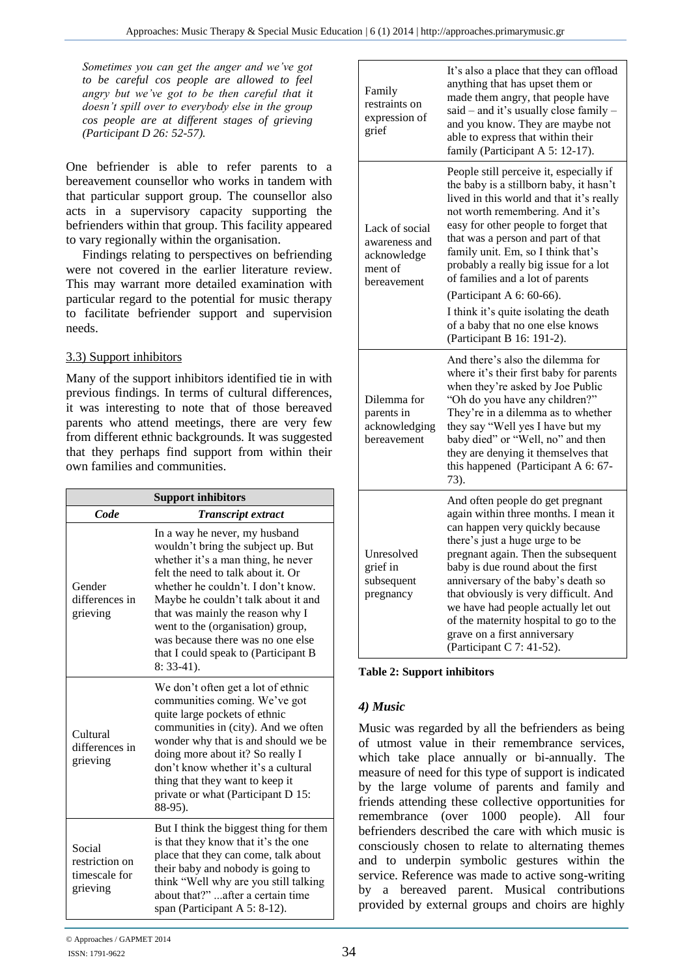*Sometimes you can get the anger and we've got to be careful cos people are allowed to feel angry but we've got to be then careful that it doesn't spill over to everybody else in the group cos people are at different stages of grieving (Participant D 26: 52-57).*

One befriender is able to refer parents to a bereavement counsellor who works in tandem with that particular support group. The counsellor also acts in a supervisory capacity supporting the befrienders within that group. This facility appeared to vary regionally within the organisation.

Findings relating to perspectives on befriending were not covered in the earlier literature review. This may warrant more detailed examination with particular regard to the potential for music therapy to facilitate befriender support and supervision needs.

# 3.3) Support inhibitors

Many of the support inhibitors identified tie in with previous findings. In terms of cultural differences, it was interesting to note that of those bereaved parents who attend meetings, there are very few from different ethnic backgrounds. It was suggested that they perhaps find support from within their own families and communities.

| <b>Support inhibitors</b>                             |                                                                                                                                                                                                                                                                                                                                                                                                     |  |  |  |
|-------------------------------------------------------|-----------------------------------------------------------------------------------------------------------------------------------------------------------------------------------------------------------------------------------------------------------------------------------------------------------------------------------------------------------------------------------------------------|--|--|--|
| Code                                                  | <b>Transcript extract</b>                                                                                                                                                                                                                                                                                                                                                                           |  |  |  |
| Gender<br>differences in<br>grieving                  | In a way he never, my husband<br>wouldn't bring the subject up. But<br>whether it's a man thing, he never<br>felt the need to talk about it. Or<br>whether he couldn't. I don't know.<br>Maybe he couldn't talk about it and<br>that was mainly the reason why I<br>went to the (organisation) group,<br>was because there was no one else<br>that I could speak to (Participant B<br>$8: 33-41$ ). |  |  |  |
| Cultural<br>differences in<br>grieving                | We don't often get a lot of ethnic<br>communities coming. We've got<br>quite large pockets of ethnic<br>communities in (city). And we often<br>wonder why that is and should we be<br>doing more about it? So really I<br>don't know whether it's a cultural<br>thing that they want to keep it<br>private or what (Participant D 15:<br>88-95).                                                    |  |  |  |
| Social<br>restriction on<br>timescale for<br>grieving | But I think the biggest thing for them<br>is that they know that it's the one<br>place that they can come, talk about<br>their baby and nobody is going to<br>think "Well why are you still talking<br>about that?" after a certain time<br>span (Participant A 5: 8-12).                                                                                                                           |  |  |  |

|  | Family<br>restraints on<br>expression of<br>grief                        | It's also a place that they can offload<br>anything that has upset them or<br>made them angry, that people have<br>said - and it's usually close family -<br>and you know. They are maybe not<br>able to express that within their<br>family (Participant A 5: 12-17).                                                                                                                                                                                 |  |
|--|--------------------------------------------------------------------------|--------------------------------------------------------------------------------------------------------------------------------------------------------------------------------------------------------------------------------------------------------------------------------------------------------------------------------------------------------------------------------------------------------------------------------------------------------|--|
|  | Lack of social<br>awareness and<br>acknowledge<br>ment of<br>bereavement | People still perceive it, especially if<br>the baby is a stillborn baby, it hasn't<br>lived in this world and that it's really<br>not worth remembering. And it's<br>easy for other people to forget that<br>that was a person and part of that<br>family unit. Em, so I think that's<br>probably a really big issue for a lot<br>of families and a lot of parents                                                                                     |  |
|  |                                                                          | (Participant A 6: 60-66).<br>I think it's quite isolating the death<br>of a baby that no one else knows<br>(Participant B 16: 191-2).                                                                                                                                                                                                                                                                                                                  |  |
|  | Dilemma for<br>parents in<br>acknowledging<br>bereavement                | And there's also the dilemma for<br>where it's their first baby for parents<br>when they're asked by Joe Public<br>"Oh do you have any children?"<br>They're in a dilemma as to whether<br>they say "Well yes I have but my<br>baby died" or "Well, no" and then<br>they are denying it themselves that<br>this happened (Participant A 6: 67-<br>73).                                                                                                 |  |
|  | Unresolved<br>grief in<br>subsequent<br>pregnancy                        | And often people do get pregnant<br>again within three months. I mean it<br>can happen very quickly because<br>there's just a huge urge to be<br>pregnant again. Then the subsequent<br>baby is due round about the first<br>anniversary of the baby's death so<br>that obviously is very difficult. And<br>we have had people actually let out<br>of the maternity hospital to go to the<br>grave on a first anniversary<br>(Participant C 7: 41-52). |  |

**Table 2: Support inhibitors**

# *4) Music*

Music was regarded by all the befrienders as being of utmost value in their remembrance services, which take place annually or bi-annually. The measure of need for this type of support is indicated by the large volume of parents and family and friends attending these collective opportunities for remembrance (over 1000 people). All four befrienders described the care with which music is consciously chosen to relate to alternating themes and to underpin symbolic gestures within the service. Reference was made to active song-writing by a bereaved parent. Musical contributions provided by external groups and choirs are highly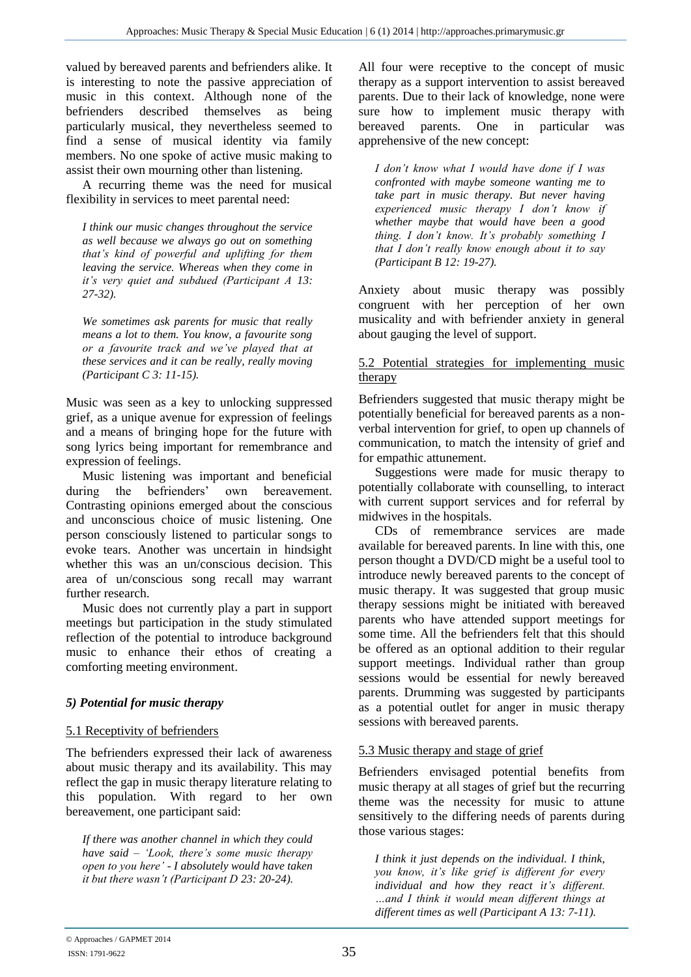valued by bereaved parents and befrienders alike. It is interesting to note the passive appreciation of music in this context. Although none of the befrienders described themselves as being particularly musical, they nevertheless seemed to find a sense of musical identity via family members. No one spoke of active music making to assist their own mourning other than listening.

A recurring theme was the need for musical flexibility in services to meet parental need:

*I think our music changes throughout the service as well because we always go out on something that's kind of powerful and uplifting for them leaving the service. Whereas when they come in it's very quiet and subdued (Participant A 13: 27-32).*

*We sometimes ask parents for music that really means a lot to them. You know, a favourite song or a favourite track and we've played that at these services and it can be really, really moving (Participant C 3: 11-15).*

Music was seen as a key to unlocking suppressed grief, as a unique avenue for expression of feelings and a means of bringing hope for the future with song lyrics being important for remembrance and expression of feelings.

Music listening was important and beneficial during the befrienders' own bereavement. Contrasting opinions emerged about the conscious and unconscious choice of music listening. One person consciously listened to particular songs to evoke tears. Another was uncertain in hindsight whether this was an un/conscious decision. This area of un/conscious song recall may warrant further research.

Music does not currently play a part in support meetings but participation in the study stimulated reflection of the potential to introduce background music to enhance their ethos of creating a comforting meeting environment.

# *5) Potential for music therapy*

# 5.1 Receptivity of befrienders

The befrienders expressed their lack of awareness about music therapy and its availability. This may reflect the gap in music therapy literature relating to this population. With regard to her own bereavement, one participant said:

*If there was another channel in which they could have said – 'Look, there's some music therapy open to you here' - I absolutely would have taken it but there wasn't (Participant D 23: 20-24).* 

All four were receptive to the concept of music therapy as a support intervention to assist bereaved parents. Due to their lack of knowledge, none were sure how to implement music therapy with bereaved parents. One in particular was apprehensive of the new concept:

*I don't know what I would have done if I was confronted with maybe someone wanting me to take part in music therapy. But never having experienced music therapy I don't know if whether maybe that would have been a good thing. I don't know. It's probably something I that I don't really know enough about it to say (Participant B 12: 19-27).*

Anxiety about music therapy was possibly congruent with her perception of her own musicality and with befriender anxiety in general about gauging the level of support.

#### 5.2 Potential strategies for implementing music therapy

Befrienders suggested that music therapy might be potentially beneficial for bereaved parents as a nonverbal intervention for grief, to open up channels of communication, to match the intensity of grief and for empathic attunement.

Suggestions were made for music therapy to potentially collaborate with counselling, to interact with current support services and for referral by midwives in the hospitals.

CDs of remembrance services are made available for bereaved parents. In line with this, one person thought a DVD/CD might be a useful tool to introduce newly bereaved parents to the concept of music therapy. It was suggested that group music therapy sessions might be initiated with bereaved parents who have attended support meetings for some time. All the befrienders felt that this should be offered as an optional addition to their regular support meetings. Individual rather than group sessions would be essential for newly bereaved parents. Drumming was suggested by participants as a potential outlet for anger in music therapy sessions with bereaved parents.

# 5.3 Music therapy and stage of grief

Befrienders envisaged potential benefits from music therapy at all stages of grief but the recurring theme was the necessity for music to attune sensitively to the differing needs of parents during those various stages:

*I think it just depends on the individual. I think, you know, it's like grief is different for every individual and how they react it's different. …and I think it would mean different things at different times as well (Participant A 13: 7-11).*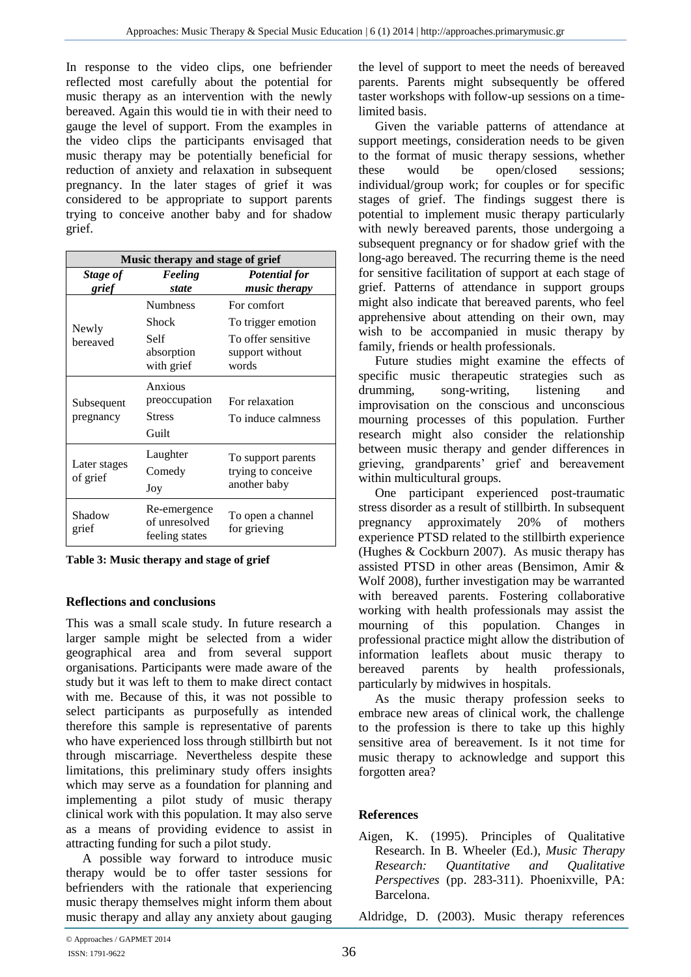In response to the video clips, one befriender reflected most carefully about the potential for music therapy as an intervention with the newly bereaved. Again this would tie in with their need to gauge the level of support. From the examples in the video clips the participants envisaged that music therapy may be potentially beneficial for reduction of anxiety and relaxation in subsequent pregnancy. In the later stages of grief it was considered to be appropriate to support parents trying to conceive another baby and for shadow grief.

| Music therapy and stage of grief |                                                 |                                   |  |  |
|----------------------------------|-------------------------------------------------|-----------------------------------|--|--|
| Stage of                         | Feeling                                         | <b>Potential for</b>              |  |  |
| grief                            | state                                           | music therapy                     |  |  |
|                                  | <b>Numbness</b>                                 | For comfort                       |  |  |
| Newly                            | Shock                                           | To trigger emotion                |  |  |
| bereaved                         | Self                                            | To offer sensitive                |  |  |
|                                  | absorption                                      | support without                   |  |  |
|                                  | with grief                                      | words                             |  |  |
|                                  | Anxious                                         |                                   |  |  |
| Subsequent                       | preoccupation                                   | For relaxation                    |  |  |
| pregnancy                        | <b>Stress</b>                                   | To induce calmness                |  |  |
|                                  | Guilt                                           |                                   |  |  |
|                                  | Laughter                                        | To support parents                |  |  |
| Later stages<br>of grief         | Comedy                                          | trying to conceive                |  |  |
|                                  | Joy                                             | another baby                      |  |  |
| Shadow<br>grief                  | Re-emergence<br>of unresolved<br>feeling states | To open a channel<br>for grieving |  |  |

**Table 3: Music therapy and stage of grief**

# **Reflections and conclusions**

This was a small scale study. In future research a larger sample might be selected from a wider geographical area and from several support organisations. Participants were made aware of the study but it was left to them to make direct contact with me. Because of this, it was not possible to select participants as purposefully as intended therefore this sample is representative of parents who have experienced loss through stillbirth but not through miscarriage. Nevertheless despite these limitations, this preliminary study offers insights which may serve as a foundation for planning and implementing a pilot study of music therapy clinical work with this population. It may also serve as a means of providing evidence to assist in attracting funding for such a pilot study.

A possible way forward to introduce music therapy would be to offer taster sessions for befrienders with the rationale that experiencing music therapy themselves might inform them about music therapy and allay any anxiety about gauging

the level of support to meet the needs of bereaved parents. Parents might subsequently be offered taster workshops with follow-up sessions on a timelimited basis.

Given the variable patterns of attendance at support meetings, consideration needs to be given to the format of music therapy sessions, whether these would be open/closed sessions; individual/group work; for couples or for specific stages of grief. The findings suggest there is potential to implement music therapy particularly with newly bereaved parents, those undergoing a subsequent pregnancy or for shadow grief with the long-ago bereaved. The recurring theme is the need for sensitive facilitation of support at each stage of grief. Patterns of attendance in support groups might also indicate that bereaved parents, who feel apprehensive about attending on their own, may wish to be accompanied in music therapy by family, friends or health professionals.

Future studies might examine the effects of specific music therapeutic strategies such as drumming, song-writing, listening and improvisation on the conscious and unconscious mourning processes of this population. Further research might also consider the relationship between music therapy and gender differences in grieving, grandparents' grief and bereavement within multicultural groups.

One participant experienced post-traumatic stress disorder as a result of stillbirth. In subsequent pregnancy approximately 20% of mothers experience PTSD related to the stillbirth experience (Hughes & Cockburn 2007). As music therapy has assisted PTSD in other areas (Bensimon, Amir & Wolf 2008), further investigation may be warranted with bereaved parents. Fostering collaborative working with health professionals may assist the mourning of this population. Changes in professional practice might allow the distribution of information leaflets about music therapy to bereaved parents by health professionals, particularly by midwives in hospitals.

As the music therapy profession seeks to embrace new areas of clinical work, the challenge to the profession is there to take up this highly sensitive area of bereavement. Is it not time for music therapy to acknowledge and support this forgotten area?

# **References**

Aigen, K. (1995). Principles of Qualitative Research. In B. Wheeler (Ed.), *Music Therapy Research: Quantitative and Qualitative Perspectives* (pp. 283-311). Phoenixville, PA: Barcelona.

Aldridge, D. (2003). Music therapy references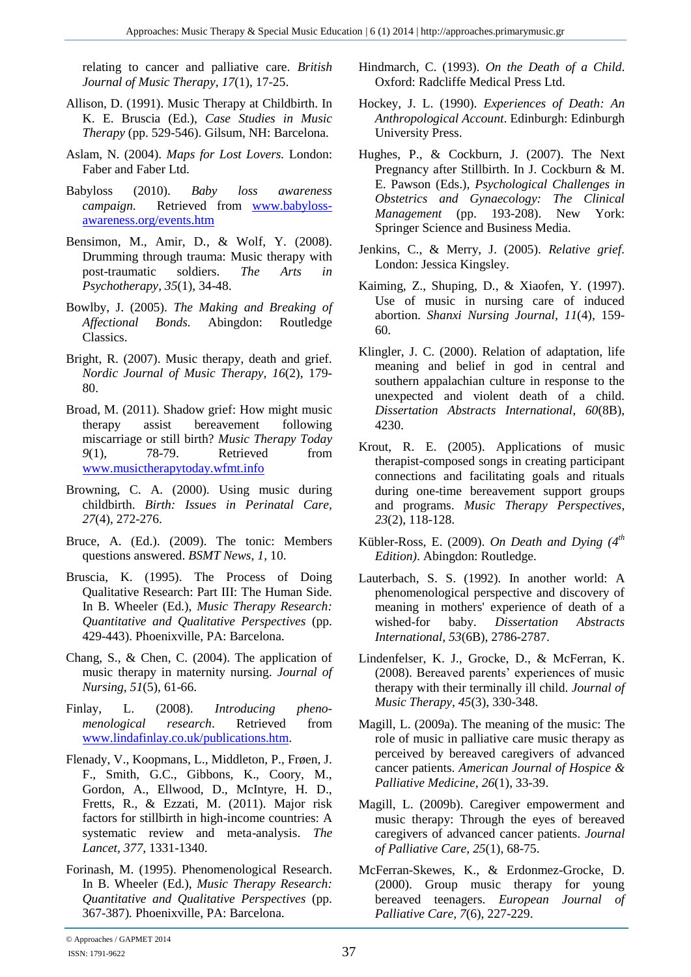relating to cancer and palliative care. *British Journal of Music Therapy*, *17*(1), 17-25.

- Allison, D. (1991). Music Therapy at Childbirth. In K. E. Bruscia (Ed.), *Case Studies in Music Therapy* (pp. 529-546). Gilsum, NH: Barcelona.
- Aslam, N. (2004). *Maps for Lost Lovers.* London: Faber and Faber Ltd.
- Babyloss (2010). *Baby loss awareness campaign*. Retrieved from [www.babyloss](http://www.babyloss-awareness.org/events.htm)[awareness.org/events.htm](http://www.babyloss-awareness.org/events.htm)
- Bensimon, M., Amir, D., & Wolf, Y. (2008). Drumming through trauma: Music therapy with post-traumatic soldiers. *The Arts in Psychotherapy, 35*(1), 34-48.
- Bowlby, J. (2005). *The Making and Breaking of Affectional Bonds.* Abingdon: Routledge Classics.
- Bright, R. (2007). Music therapy, death and grief. *Nordic Journal of Music Therapy, 16*(2), 179- 80.
- Broad, M. (2011). Shadow grief: How might music therapy assist bereavement following miscarriage or still birth? *Music Therapy Today 9*(1), 78-79. Retrieved from [www.musictherapytoday.wfmt.info](http://www.musictherapytoday.wfmt.info/)
- Browning, C. A. (2000). Using music during childbirth. *Birth: Issues in Perinatal Care, 27*(4), 272-276.
- Bruce, A. (Ed.). (2009). The tonic: Members questions answered. *BSMT News, 1,* 10.
- Bruscia, K. (1995). The Process of Doing Qualitative Research: Part III: The Human Side. In B. Wheeler (Ed.), *Music Therapy Research: Quantitative and Qualitative Perspectives* (pp. 429-443). Phoenixville, PA: Barcelona.
- Chang, S., & Chen, C. (2004). The application of music therapy in maternity nursing. *Journal of Nursing, 51*(5), 61-66.
- Finlay, L. (2008). *Introducing phenomenological research*. Retrieved from [www.lindafinlay.co.uk/publications.htm.](http://www.lindafinlay.co.uk/publications.htm)
- Flenady, V., Koopmans, L., Middleton, P., Frøen, J. F., Smith, G.C., Gibbons, K., Coory, M., Gordon, A., Ellwood, D., McIntyre, H. D., Fretts, R., & Ezzati, M. (2011). Major risk factors for stillbirth in high-income countries: A systematic review and meta-analysis. *The Lancet, 377,* 1331-1340.
- Forinash, M. (1995). Phenomenological Research. In B. Wheeler (Ed.), *Music Therapy Research: Quantitative and Qualitative Perspectives* (pp. 367-387)*.* Phoenixville, PA: Barcelona.
- Hindmarch, C. (1993). *On the Death of a Child*. Oxford: Radcliffe Medical Press Ltd.
- Hockey, J. L. (1990). *Experiences of Death: An Anthropological Account*. Edinburgh: Edinburgh University Press.
- Hughes, P., & Cockburn, J. (2007). The Next Pregnancy after Stillbirth. In J. Cockburn & M. E. Pawson (Eds.), *Psychological Challenges in Obstetrics and Gynaecology: The Clinical Management* (pp. 193-208). New York: Springer Science and Business Media.
- Jenkins, C., & Merry, J. (2005). *Relative grief.* London: Jessica Kingsley.
- Kaiming, Z., Shuping, D., & Xiaofen, Y. (1997). Use of music in nursing care of induced abortion. *Shanxi Nursing Journal, 11*(4), 159- 60.
- Klingler, J. C. (2000). Relation of adaptation, life meaning and belief in god in central and southern appalachian culture in response to the unexpected and violent death of a child. *Dissertation Abstracts International, 60*(8B), 4230.
- Krout, R. E. (2005). Applications of music therapist-composed songs in creating participant connections and facilitating goals and rituals during one-time bereavement support groups and programs. *Music Therapy Perspectives*, *23*(2), 118-128.
- Kübler-Ross, E. (2009). *On Death and Dying (4th Edition)*. Abingdon: Routledge.
- Lauterbach, S. S. (1992). In another world: A phenomenological perspective and discovery of meaning in mothers' experience of death of a wished-for baby. *Dissertation Abstracts International, 53*(6B), 2786-2787.
- Lindenfelser, K. J., Grocke, D., & McFerran, K. (2008). Bereaved parents' experiences of music therapy with their terminally ill child. *Journal of Music Therapy*, *45*(3), 330-348.
- Magill, L. (2009a). The meaning of the music: The role of music in palliative care music therapy as perceived by bereaved caregivers of advanced cancer patients. *American Journal of Hospice & Palliative Medicine, 26*(1), 33-39.
- Magill, L. (2009b). Caregiver empowerment and music therapy: Through the eyes of bereaved caregivers of advanced cancer patients. *Journal of Palliative Care, 25*(1), 68-75.
- McFerran-Skewes, K., & Erdonmez-Grocke, D. (2000). Group music therapy for young bereaved teenagers. *European Journal of Palliative Care, 7*(6), 227-229.